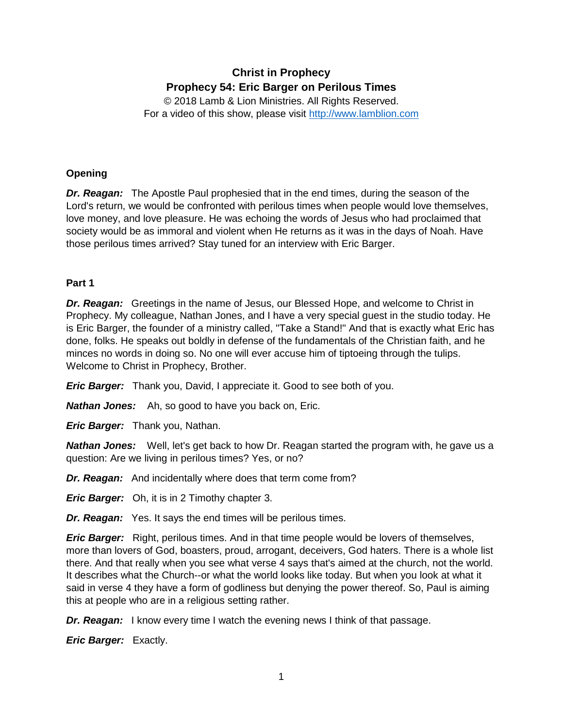# **Christ in Prophecy Prophecy 54: Eric Barger on Perilous Times**

© 2018 Lamb & Lion Ministries. All Rights Reserved. For a video of this show, please visit [http://www.lamblion.com](http://www.lamblion.com/)

# **Opening**

*Dr. Reagan:* The Apostle Paul prophesied that in the end times, during the season of the Lord's return, we would be confronted with perilous times when people would love themselves, love money, and love pleasure. He was echoing the words of Jesus who had proclaimed that society would be as immoral and violent when He returns as it was in the days of Noah. Have those perilous times arrived? Stay tuned for an interview with Eric Barger.

## **Part 1**

*Dr. Reagan:* Greetings in the name of Jesus, our Blessed Hope, and welcome to Christ in Prophecy. My colleague, Nathan Jones, and I have a very special guest in the studio today. He is Eric Barger, the founder of a ministry called, "Take a Stand!" And that is exactly what Eric has done, folks. He speaks out boldly in defense of the fundamentals of the Christian faith, and he minces no words in doing so. No one will ever accuse him of tiptoeing through the tulips. Welcome to Christ in Prophecy, Brother.

*Eric Barger:* Thank you, David, I appreciate it. Good to see both of you.

*Nathan Jones:* Ah, so good to have you back on, Eric.

*Eric Barger:* Thank you, Nathan.

*Nathan Jones:* Well, let's get back to how Dr. Reagan started the program with, he gave us a question: Are we living in perilous times? Yes, or no?

*Dr. Reagan:* And incidentally where does that term come from?

*Eric Barger:* Oh, it is in 2 Timothy chapter 3.

*Dr. Reagan:* Yes. It says the end times will be perilous times.

*Eric Barger:* Right, perilous times. And in that time people would be lovers of themselves, more than lovers of God, boasters, proud, arrogant, deceivers, God haters. There is a whole list there. And that really when you see what verse 4 says that's aimed at the church, not the world. It describes what the Church--or what the world looks like today. But when you look at what it said in verse 4 they have a form of godliness but denying the power thereof. So, Paul is aiming this at people who are in a religious setting rather.

*Dr. Reagan:* I know every time I watch the evening news I think of that passage.

*Eric Barger:* Exactly.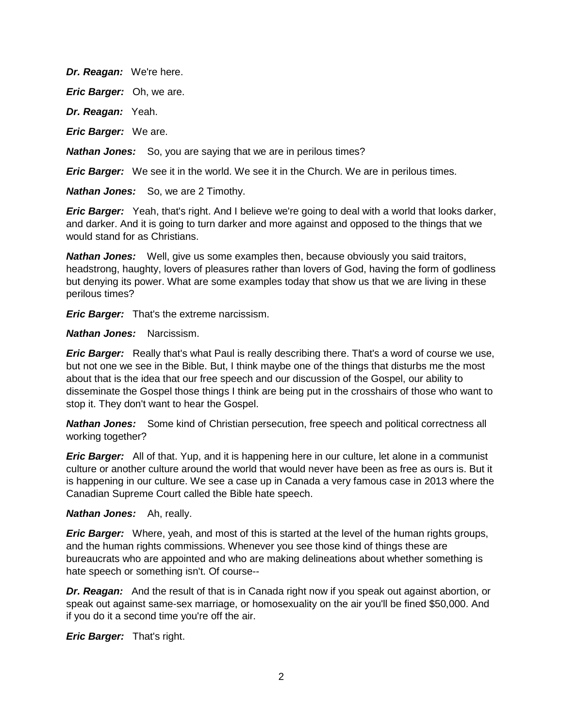*Dr. Reagan:* We're here.

*Eric Barger:* Oh, we are.

*Dr. Reagan:* Yeah.

*Eric Barger:* We are.

*Nathan Jones:* So, you are saying that we are in perilous times?

*Eric Barger:* We see it in the world. We see it in the Church. We are in perilous times.

*Nathan Jones:* So, we are 2 Timothy.

*Eric Barger:* Yeah, that's right. And I believe we're going to deal with a world that looks darker, and darker. And it is going to turn darker and more against and opposed to the things that we would stand for as Christians.

*Nathan Jones:* Well, give us some examples then, because obviously you said traitors, headstrong, haughty, lovers of pleasures rather than lovers of God, having the form of godliness but denying its power. What are some examples today that show us that we are living in these perilous times?

*Eric Barger:* That's the extreme narcissism.

*Nathan Jones:* Narcissism.

*Eric Barger:* Really that's what Paul is really describing there. That's a word of course we use, but not one we see in the Bible. But, I think maybe one of the things that disturbs me the most about that is the idea that our free speech and our discussion of the Gospel, our ability to disseminate the Gospel those things I think are being put in the crosshairs of those who want to stop it. They don't want to hear the Gospel.

*Nathan Jones:* Some kind of Christian persecution, free speech and political correctness all working together?

*Eric Barger:* All of that. Yup, and it is happening here in our culture, let alone in a communist culture or another culture around the world that would never have been as free as ours is. But it is happening in our culture. We see a case up in Canada a very famous case in 2013 where the Canadian Supreme Court called the Bible hate speech.

## *Nathan Jones:* Ah, really.

*Eric Barger:* Where, yeah, and most of this is started at the level of the human rights groups, and the human rights commissions. Whenever you see those kind of things these are bureaucrats who are appointed and who are making delineations about whether something is hate speech or something isn't. Of course--

*Dr. Reagan:* And the result of that is in Canada right now if you speak out against abortion, or speak out against same-sex marriage, or homosexuality on the air you'll be fined \$50,000. And if you do it a second time you're off the air.

*Eric Barger:* That's right.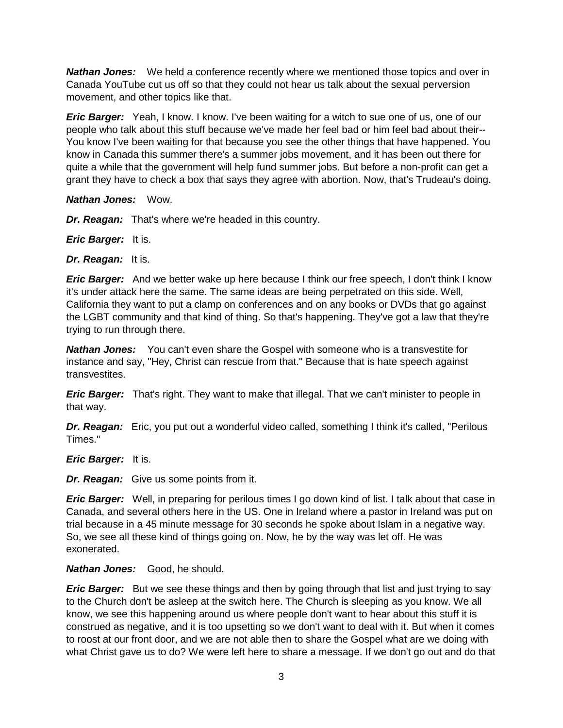**Nathan Jones:** We held a conference recently where we mentioned those topics and over in Canada YouTube cut us off so that they could not hear us talk about the sexual perversion movement, and other topics like that.

*Eric Barger:* Yeah, I know. I know. I've been waiting for a witch to sue one of us, one of our people who talk about this stuff because we've made her feel bad or him feel bad about their-- You know I've been waiting for that because you see the other things that have happened. You know in Canada this summer there's a summer jobs movement, and it has been out there for quite a while that the government will help fund summer jobs. But before a non-profit can get a grant they have to check a box that says they agree with abortion. Now, that's Trudeau's doing.

*Nathan Jones:* Wow.

*Dr. Reagan:* That's where we're headed in this country.

*Eric Barger:* It is.

*Dr. Reagan:* It is.

*Eric Barger:* And we better wake up here because I think our free speech, I don't think I know it's under attack here the same. The same ideas are being perpetrated on this side. Well, California they want to put a clamp on conferences and on any books or DVDs that go against the LGBT community and that kind of thing. So that's happening. They've got a law that they're trying to run through there.

*Nathan Jones:* You can't even share the Gospel with someone who is a transvestite for instance and say, "Hey, Christ can rescue from that." Because that is hate speech against transvestites.

*Eric Barger:* That's right. They want to make that illegal. That we can't minister to people in that way.

*Dr. Reagan:* Eric, you put out a wonderful video called, something I think it's called, "Perilous Times."

*Eric Barger:* It is.

*Dr. Reagan:* Give us some points from it.

*Eric Barger:* Well, in preparing for perilous times I go down kind of list. I talk about that case in Canada, and several others here in the US. One in Ireland where a pastor in Ireland was put on trial because in a 45 minute message for 30 seconds he spoke about Islam in a negative way. So, we see all these kind of things going on. Now, he by the way was let off. He was exonerated.

## *Nathan Jones:* Good, he should.

*Eric Barger:* But we see these things and then by going through that list and just trying to say to the Church don't be asleep at the switch here. The Church is sleeping as you know. We all know, we see this happening around us where people don't want to hear about this stuff it is construed as negative, and it is too upsetting so we don't want to deal with it. But when it comes to roost at our front door, and we are not able then to share the Gospel what are we doing with what Christ gave us to do? We were left here to share a message. If we don't go out and do that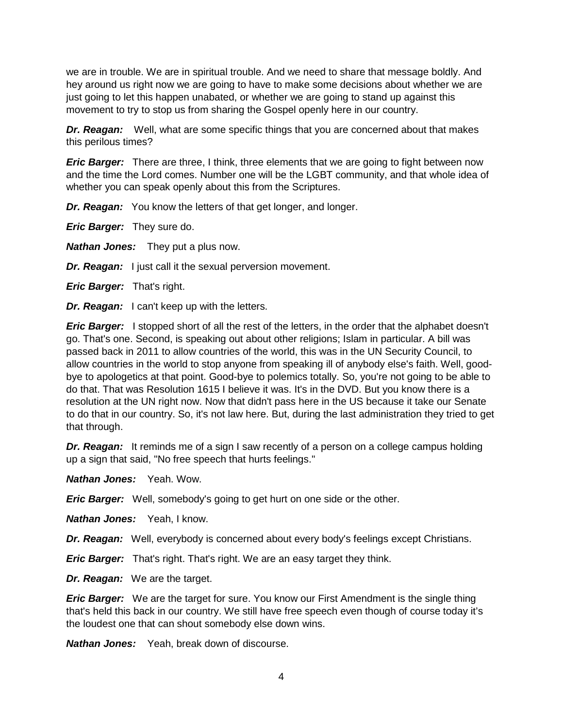we are in trouble. We are in spiritual trouble. And we need to share that message boldly. And hey around us right now we are going to have to make some decisions about whether we are just going to let this happen unabated, or whether we are going to stand up against this movement to try to stop us from sharing the Gospel openly here in our country.

*Dr. Reagan:* Well, what are some specific things that you are concerned about that makes this perilous times?

*Eric Barger:* There are three, I think, three elements that we are going to fight between now and the time the Lord comes. Number one will be the LGBT community, and that whole idea of whether you can speak openly about this from the Scriptures.

*Dr. Reagan:* You know the letters of that get longer, and longer.

*Eric Barger:* They sure do.

*Nathan Jones:* They put a plus now.

*Dr. Reagan:* I just call it the sexual perversion movement.

*Eric Barger:* That's right.

*Dr. Reagan:* I can't keep up with the letters.

*Eric Barger:* I stopped short of all the rest of the letters, in the order that the alphabet doesn't go. That's one. Second, is speaking out about other religions; Islam in particular. A bill was passed back in 2011 to allow countries of the world, this was in the UN Security Council, to allow countries in the world to stop anyone from speaking ill of anybody else's faith. Well, goodbye to apologetics at that point. Good-bye to polemics totally. So, you're not going to be able to do that. That was Resolution 1615 I believe it was. It's in the DVD. But you know there is a resolution at the UN right now. Now that didn't pass here in the US because it take our Senate to do that in our country. So, it's not law here. But, during the last administration they tried to get that through.

**Dr. Reagan:** It reminds me of a sign I saw recently of a person on a college campus holding up a sign that said, "No free speech that hurts feelings."

*Nathan Jones:* Yeah. Wow.

*Eric Barger:* Well, somebody's going to get hurt on one side or the other.

*Nathan Jones:* Yeah, I know.

*Dr. Reagan:* Well, everybody is concerned about every body's feelings except Christians.

*Eric Barger:* That's right. That's right. We are an easy target they think.

*Dr. Reagan:* We are the target.

*Eric Barger:* We are the target for sure. You know our First Amendment is the single thing that's held this back in our country. We still have free speech even though of course today it's the loudest one that can shout somebody else down wins.

*Nathan Jones:* Yeah, break down of discourse.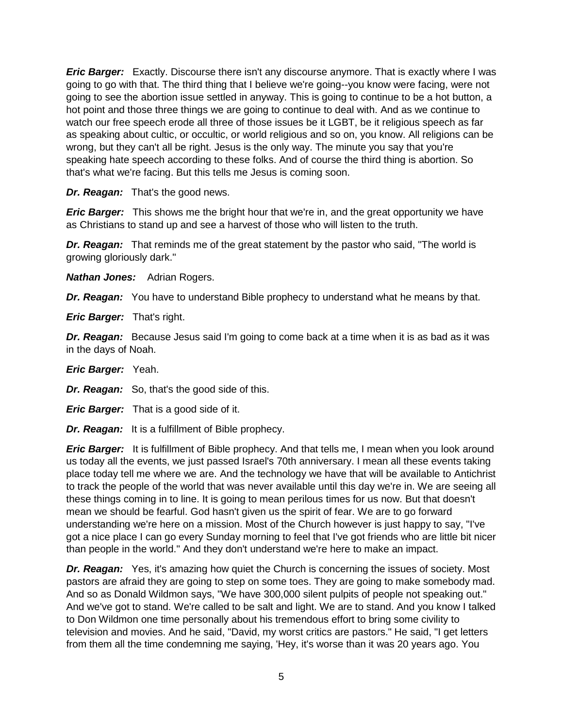*Eric Barger:* Exactly. Discourse there isn't any discourse anymore. That is exactly where I was going to go with that. The third thing that I believe we're going--you know were facing, were not going to see the abortion issue settled in anyway. This is going to continue to be a hot button, a hot point and those three things we are going to continue to deal with. And as we continue to watch our free speech erode all three of those issues be it LGBT, be it religious speech as far as speaking about cultic, or occultic, or world religious and so on, you know. All religions can be wrong, but they can't all be right. Jesus is the only way. The minute you say that you're speaking hate speech according to these folks. And of course the third thing is abortion. So that's what we're facing. But this tells me Jesus is coming soon.

*Dr. Reagan:* That's the good news.

*Eric Barger:* This shows me the bright hour that we're in, and the great opportunity we have as Christians to stand up and see a harvest of those who will listen to the truth.

*Dr. Reagan:* That reminds me of the great statement by the pastor who said, "The world is growing gloriously dark."

*Nathan Jones:* Adrian Rogers.

*Dr. Reagan:* You have to understand Bible prophecy to understand what he means by that.

*Eric Barger:* That's right.

*Dr. Reagan:* Because Jesus said I'm going to come back at a time when it is as bad as it was in the days of Noah.

*Eric Barger:* Yeah.

*Dr. Reagan:* So, that's the good side of this.

*Eric Barger:* That is a good side of it.

*Dr. Reagan:* It is a fulfillment of Bible prophecy.

*Eric Barger:* It is fulfillment of Bible prophecy. And that tells me, I mean when you look around us today all the events, we just passed Israel's 70th anniversary. I mean all these events taking place today tell me where we are. And the technology we have that will be available to Antichrist to track the people of the world that was never available until this day we're in. We are seeing all these things coming in to line. It is going to mean perilous times for us now. But that doesn't mean we should be fearful. God hasn't given us the spirit of fear. We are to go forward understanding we're here on a mission. Most of the Church however is just happy to say, "I've got a nice place I can go every Sunday morning to feel that I've got friends who are little bit nicer than people in the world." And they don't understand we're here to make an impact.

**Dr. Reagan:** Yes, it's amazing how quiet the Church is concerning the issues of society. Most pastors are afraid they are going to step on some toes. They are going to make somebody mad. And so as Donald Wildmon says, "We have 300,000 silent pulpits of people not speaking out." And we've got to stand. We're called to be salt and light. We are to stand. And you know I talked to Don Wildmon one time personally about his tremendous effort to bring some civility to television and movies. And he said, "David, my worst critics are pastors." He said, "I get letters from them all the time condemning me saying, 'Hey, it's worse than it was 20 years ago. You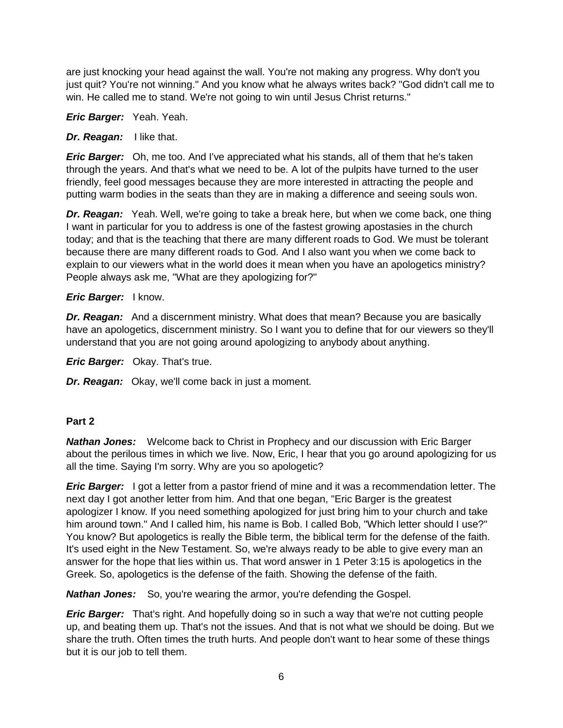are just knocking your head against the wall. You're not making any progress. Why don't you just quit? You're not winning." And you know what he always writes back? "God didn't call me to win. He called me to stand. We're not going to win until Jesus Christ returns."

*Eric Barger:* Yeah. Yeah.

# *Dr. Reagan:* I like that.

*Eric Barger:* Oh, me too. And I've appreciated what his stands, all of them that he's taken through the years. And that's what we need to be. A lot of the pulpits have turned to the user friendly, feel good messages because they are more interested in attracting the people and putting warm bodies in the seats than they are in making a difference and seeing souls won.

*Dr. Reagan:* Yeah. Well, we're going to take a break here, but when we come back, one thing I want in particular for you to address is one of the fastest growing apostasies in the church today; and that is the teaching that there are many different roads to God. We must be tolerant because there are many different roads to God. And I also want you when we come back to explain to our viewers what in the world does it mean when you have an apologetics ministry? People always ask me, "What are they apologizing for?"

# *Eric Barger:* I know.

*Dr. Reagan:* And a discernment ministry. What does that mean? Because you are basically have an apologetics, discernment ministry. So I want you to define that for our viewers so they'll understand that you are not going around apologizing to anybody about anything.

*Eric Barger:* Okay. That's true.

*Dr. Reagan:* Okay, we'll come back in just a moment.

## **Part 2**

*Nathan Jones:* Welcome back to Christ in Prophecy and our discussion with Eric Barger about the perilous times in which we live. Now, Eric, I hear that you go around apologizing for us all the time. Saying I'm sorry. Why are you so apologetic?

*Eric Barger:* I got a letter from a pastor friend of mine and it was a recommendation letter. The next day I got another letter from him. And that one began, "Eric Barger is the greatest apologizer I know. If you need something apologized for just bring him to your church and take him around town." And I called him, his name is Bob. I called Bob, "Which letter should I use?" You know? But apologetics is really the Bible term, the biblical term for the defense of the faith. It's used eight in the New Testament. So, we're always ready to be able to give every man an answer for the hope that lies within us. That word answer in 1 Peter 3:15 is apologetics in the Greek. So, apologetics is the defense of the faith. Showing the defense of the faith.

*Nathan Jones:* So, you're wearing the armor, you're defending the Gospel.

*Eric Barger:* That's right. And hopefully doing so in such a way that we're not cutting people up, and beating them up. That's not the issues. And that is not what we should be doing. But we share the truth. Often times the truth hurts. And people don't want to hear some of these things but it is our job to tell them.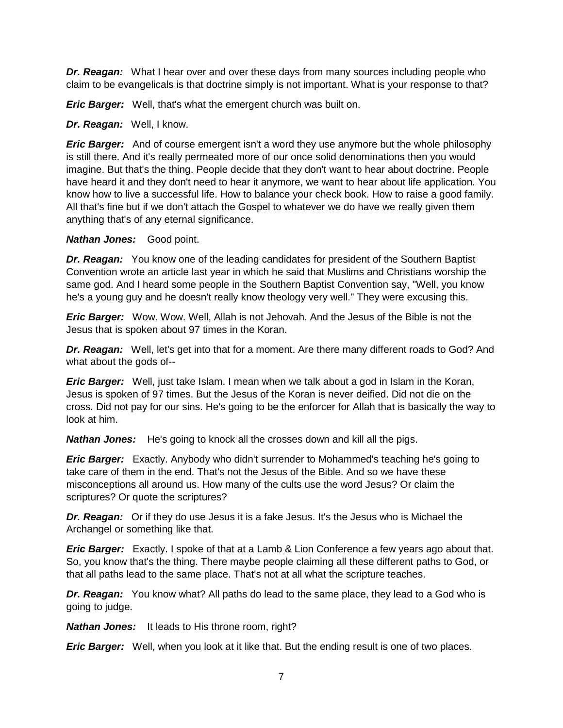*Dr. Reagan:* What I hear over and over these days from many sources including people who claim to be evangelicals is that doctrine simply is not important. What is your response to that?

*Eric Barger:* Well, that's what the emergent church was built on.

*Dr. Reagan:* Well, I know.

*Eric Barger:* And of course emergent isn't a word they use anymore but the whole philosophy is still there. And it's really permeated more of our once solid denominations then you would imagine. But that's the thing. People decide that they don't want to hear about doctrine. People have heard it and they don't need to hear it anymore, we want to hear about life application. You know how to live a successful life. How to balance your check book. How to raise a good family. All that's fine but if we don't attach the Gospel to whatever we do have we really given them anything that's of any eternal significance.

*Nathan Jones:* Good point.

*Dr. Reagan:* You know one of the leading candidates for president of the Southern Baptist Convention wrote an article last year in which he said that Muslims and Christians worship the same god. And I heard some people in the Southern Baptist Convention say, "Well, you know he's a young guy and he doesn't really know theology very well." They were excusing this.

*Eric Barger:* Wow. Wow. Well, Allah is not Jehovah. And the Jesus of the Bible is not the Jesus that is spoken about 97 times in the Koran.

*Dr. Reagan:* Well, let's get into that for a moment. Are there many different roads to God? And what about the gods of--

*Eric Barger:* Well, just take Islam. I mean when we talk about a god in Islam in the Koran, Jesus is spoken of 97 times. But the Jesus of the Koran is never deified. Did not die on the cross. Did not pay for our sins. He's going to be the enforcer for Allah that is basically the way to look at him.

*Nathan Jones:* He's going to knock all the crosses down and kill all the pigs.

*Eric Barger:* Exactly. Anybody who didn't surrender to Mohammed's teaching he's going to take care of them in the end. That's not the Jesus of the Bible. And so we have these misconceptions all around us. How many of the cults use the word Jesus? Or claim the scriptures? Or quote the scriptures?

*Dr. Reagan:* Or if they do use Jesus it is a fake Jesus. It's the Jesus who is Michael the Archangel or something like that.

*Eric Barger:* Exactly. I spoke of that at a Lamb & Lion Conference a few years ago about that. So, you know that's the thing. There maybe people claiming all these different paths to God, or that all paths lead to the same place. That's not at all what the scripture teaches.

*Dr. Reagan:* You know what? All paths do lead to the same place, they lead to a God who is going to judge.

*Nathan Jones:* It leads to His throne room, right?

*Eric Barger:* Well, when you look at it like that. But the ending result is one of two places.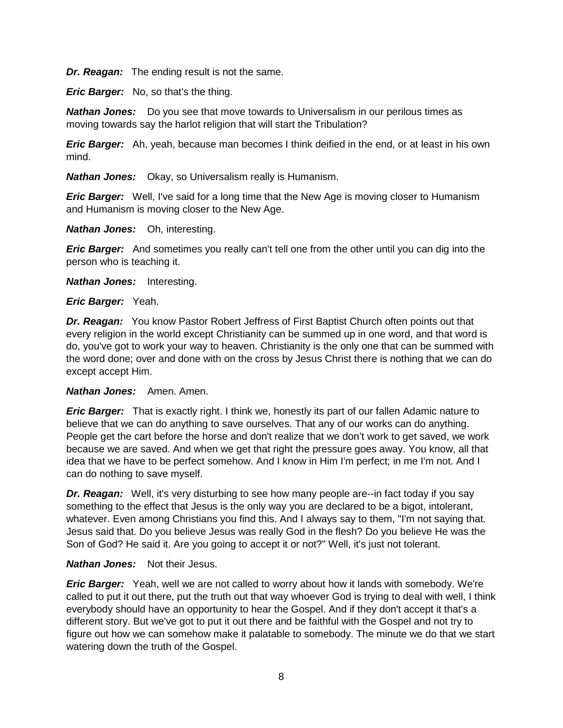*Dr. Reagan:* The ending result is not the same.

*Eric Barger:* No, so that's the thing.

*Nathan Jones:* Do you see that move towards to Universalism in our perilous times as moving towards say the harlot religion that will start the Tribulation?

*Eric Barger:* Ah, yeah, because man becomes I think deified in the end, or at least in his own mind.

*Nathan Jones:* Okay, so Universalism really is Humanism.

*Eric Barger:* Well, I've said for a long time that the New Age is moving closer to Humanism and Humanism is moving closer to the New Age.

*Nathan Jones:* Oh, interesting.

*Eric Barger:* And sometimes you really can't tell one from the other until you can dig into the person who is teaching it.

*Nathan Jones:* Interesting.

#### *Eric Barger:* Yeah.

*Dr. Reagan:* You know Pastor Robert Jeffress of First Baptist Church often points out that every religion in the world except Christianity can be summed up in one word, and that word is do, you've got to work your way to heaven. Christianity is the only one that can be summed with the word done; over and done with on the cross by Jesus Christ there is nothing that we can do except accept Him.

#### *Nathan Jones:* Amen. Amen.

*Eric Barger:* That is exactly right. I think we, honestly its part of our fallen Adamic nature to believe that we can do anything to save ourselves. That any of our works can do anything. People get the cart before the horse and don't realize that we don't work to get saved, we work because we are saved. And when we get that right the pressure goes away. You know, all that idea that we have to be perfect somehow. And I know in Him I'm perfect; in me I'm not. And I can do nothing to save myself.

*Dr. Reagan:* Well, it's very disturbing to see how many people are--in fact today if you say something to the effect that Jesus is the only way you are declared to be a bigot, intolerant, whatever. Even among Christians you find this. And I always say to them, "I'm not saying that. Jesus said that. Do you believe Jesus was really God in the flesh? Do you believe He was the Son of God? He said it. Are you going to accept it or not?" Well, it's just not tolerant.

## *Nathan Jones:* Not their Jesus.

*Eric Barger:* Yeah, well we are not called to worry about how it lands with somebody. We're called to put it out there, put the truth out that way whoever God is trying to deal with well, I think everybody should have an opportunity to hear the Gospel. And if they don't accept it that's a different story. But we've got to put it out there and be faithful with the Gospel and not try to figure out how we can somehow make it palatable to somebody. The minute we do that we start watering down the truth of the Gospel.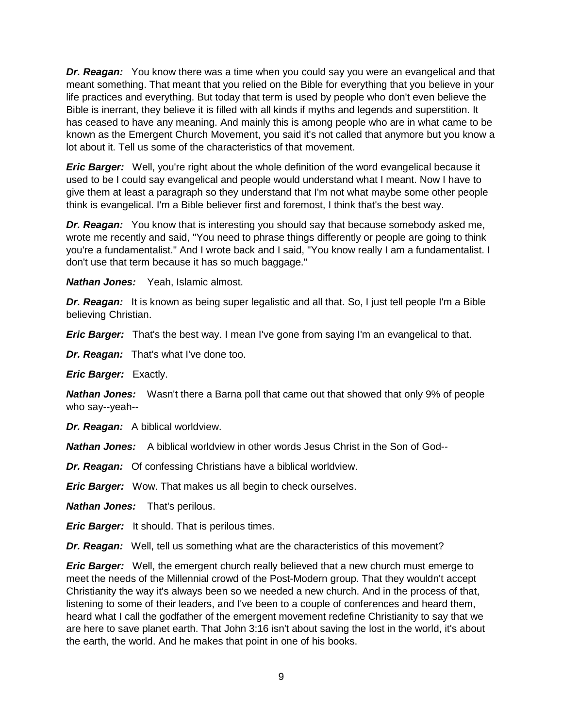*Dr. Reagan:* You know there was a time when you could say you were an evangelical and that meant something. That meant that you relied on the Bible for everything that you believe in your life practices and everything. But today that term is used by people who don't even believe the Bible is inerrant, they believe it is filled with all kinds if myths and legends and superstition. It has ceased to have any meaning. And mainly this is among people who are in what came to be known as the Emergent Church Movement, you said it's not called that anymore but you know a lot about it. Tell us some of the characteristics of that movement.

*Eric Barger:* Well, you're right about the whole definition of the word evangelical because it used to be I could say evangelical and people would understand what I meant. Now I have to give them at least a paragraph so they understand that I'm not what maybe some other people think is evangelical. I'm a Bible believer first and foremost, I think that's the best way.

*Dr. Reagan:* You know that is interesting you should say that because somebody asked me, wrote me recently and said, "You need to phrase things differently or people are going to think you're a fundamentalist." And I wrote back and I said, "You know really I am a fundamentalist. I don't use that term because it has so much baggage."

*Nathan Jones:* Yeah, Islamic almost.

**Dr. Reagan:** It is known as being super legalistic and all that. So, I just tell people I'm a Bible believing Christian.

*Eric Barger:* That's the best way. I mean I've gone from saying I'm an evangelical to that.

*Dr. Reagan:* That's what I've done too.

*Eric Barger:* Exactly.

*Nathan Jones:* Wasn't there a Barna poll that came out that showed that only 9% of people who say--yeah--

*Dr. Reagan:* A biblical worldview.

*Nathan Jones:* A biblical worldview in other words Jesus Christ in the Son of God--

*Dr. Reagan:* Of confessing Christians have a biblical worldview.

*Eric Barger:* Wow. That makes us all begin to check ourselves.

*Nathan Jones:* That's perilous.

*Eric Barger:* It should. That is perilous times.

*Dr. Reagan:* Well, tell us something what are the characteristics of this movement?

*Eric Barger:* Well, the emergent church really believed that a new church must emerge to meet the needs of the Millennial crowd of the Post-Modern group. That they wouldn't accept Christianity the way it's always been so we needed a new church. And in the process of that, listening to some of their leaders, and I've been to a couple of conferences and heard them, heard what I call the godfather of the emergent movement redefine Christianity to say that we are here to save planet earth. That John 3:16 isn't about saving the lost in the world, it's about the earth, the world. And he makes that point in one of his books.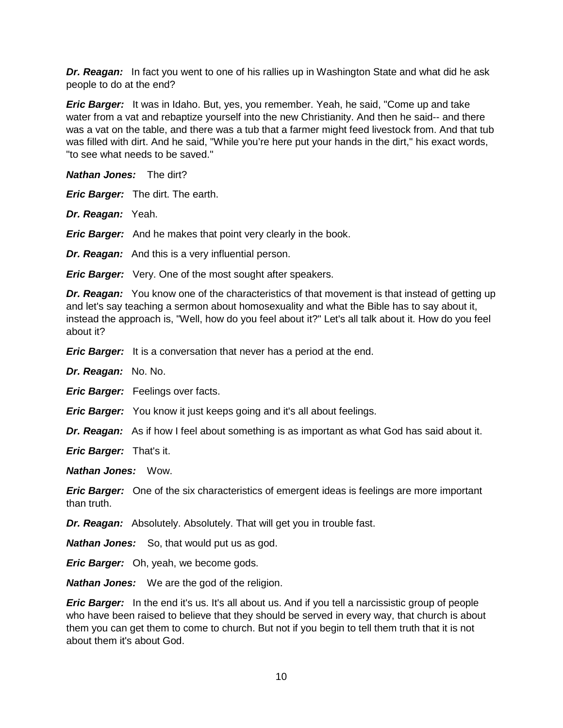*Dr. Reagan:* In fact you went to one of his rallies up in Washington State and what did he ask people to do at the end?

*Eric Barger:* It was in Idaho. But, yes, you remember. Yeah, he said, "Come up and take water from a vat and rebaptize yourself into the new Christianity. And then he said-- and there was a vat on the table, and there was a tub that a farmer might feed livestock from. And that tub was filled with dirt. And he said, "While you're here put your hands in the dirt," his exact words, "to see what needs to be saved."

*Nathan Jones:* The dirt?

*Eric Barger:* The dirt. The earth.

*Dr. Reagan:* Yeah.

*Eric Barger:* And he makes that point very clearly in the book.

*Dr. Reagan:* And this is a very influential person.

*Eric Barger:* Very. One of the most sought after speakers.

**Dr. Reagan:** You know one of the characteristics of that movement is that instead of getting up and let's say teaching a sermon about homosexuality and what the Bible has to say about it, instead the approach is, "Well, how do you feel about it?" Let's all talk about it. How do you feel about it?

*Eric Barger:* It is a conversation that never has a period at the end.

*Dr. Reagan:* No. No.

*Eric Barger:* Feelings over facts.

*Eric Barger:* You know it just keeps going and it's all about feelings.

*Dr. Reagan:* As if how I feel about something is as important as what God has said about it.

*Eric Barger:* That's it.

*Nathan Jones:* Wow.

*Eric Barger:* One of the six characteristics of emergent ideas is feelings are more important than truth.

*Dr. Reagan:* Absolutely. Absolutely. That will get you in trouble fast.

*Nathan Jones:* So, that would put us as god.

*Eric Barger:* Oh, yeah, we become gods.

*Nathan Jones:* We are the god of the religion.

*Eric Barger:* In the end it's us. It's all about us. And if you tell a narcissistic group of people who have been raised to believe that they should be served in every way, that church is about them you can get them to come to church. But not if you begin to tell them truth that it is not about them it's about God.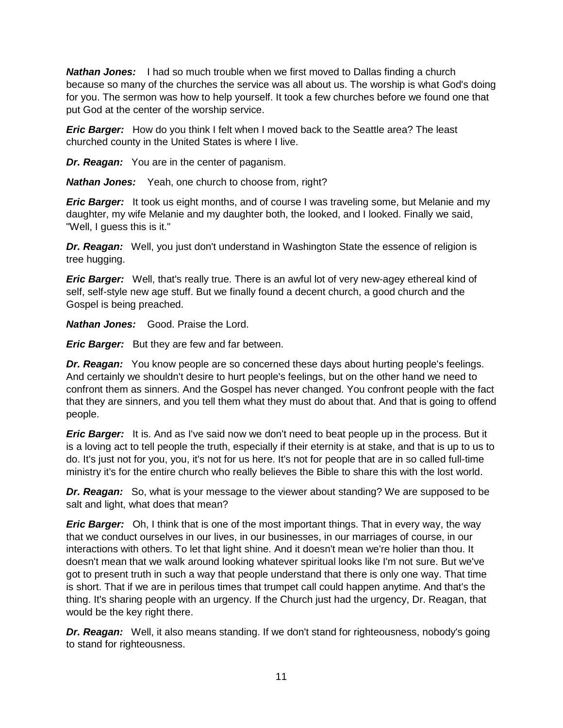*Nathan Jones:* I had so much trouble when we first moved to Dallas finding a church because so many of the churches the service was all about us. The worship is what God's doing for you. The sermon was how to help yourself. It took a few churches before we found one that put God at the center of the worship service.

*Eric Barger:* How do you think I felt when I moved back to the Seattle area? The least churched county in the United States is where I live.

*Dr. Reagan:* You are in the center of paganism.

*Nathan Jones:* Yeah, one church to choose from, right?

*Eric Barger:* It took us eight months, and of course I was traveling some, but Melanie and my daughter, my wife Melanie and my daughter both, the looked, and I looked. Finally we said, "Well, I guess this is it."

*Dr. Reagan:* Well, you just don't understand in Washington State the essence of religion is tree hugging.

*Eric Barger:* Well, that's really true. There is an awful lot of very new-agey ethereal kind of self, self-style new age stuff. But we finally found a decent church, a good church and the Gospel is being preached.

*Nathan Jones:* Good. Praise the Lord.

*Eric Barger:* But they are few and far between.

*Dr. Reagan:* You know people are so concerned these days about hurting people's feelings. And certainly we shouldn't desire to hurt people's feelings, but on the other hand we need to confront them as sinners. And the Gospel has never changed. You confront people with the fact that they are sinners, and you tell them what they must do about that. And that is going to offend people.

*Eric Barger:* It is. And as I've said now we don't need to beat people up in the process. But it is a loving act to tell people the truth, especially if their eternity is at stake, and that is up to us to do. It's just not for you, you, it's not for us here. It's not for people that are in so called full-time ministry it's for the entire church who really believes the Bible to share this with the lost world.

*Dr. Reagan:* So, what is your message to the viewer about standing? We are supposed to be salt and light, what does that mean?

*Eric Barger:* Oh, I think that is one of the most important things. That in every way, the way that we conduct ourselves in our lives, in our businesses, in our marriages of course, in our interactions with others. To let that light shine. And it doesn't mean we're holier than thou. It doesn't mean that we walk around looking whatever spiritual looks like I'm not sure. But we've got to present truth in such a way that people understand that there is only one way. That time is short. That if we are in perilous times that trumpet call could happen anytime. And that's the thing. It's sharing people with an urgency. If the Church just had the urgency, Dr. Reagan, that would be the key right there.

*Dr. Reagan:* Well, it also means standing. If we don't stand for righteousness, nobody's going to stand for righteousness.